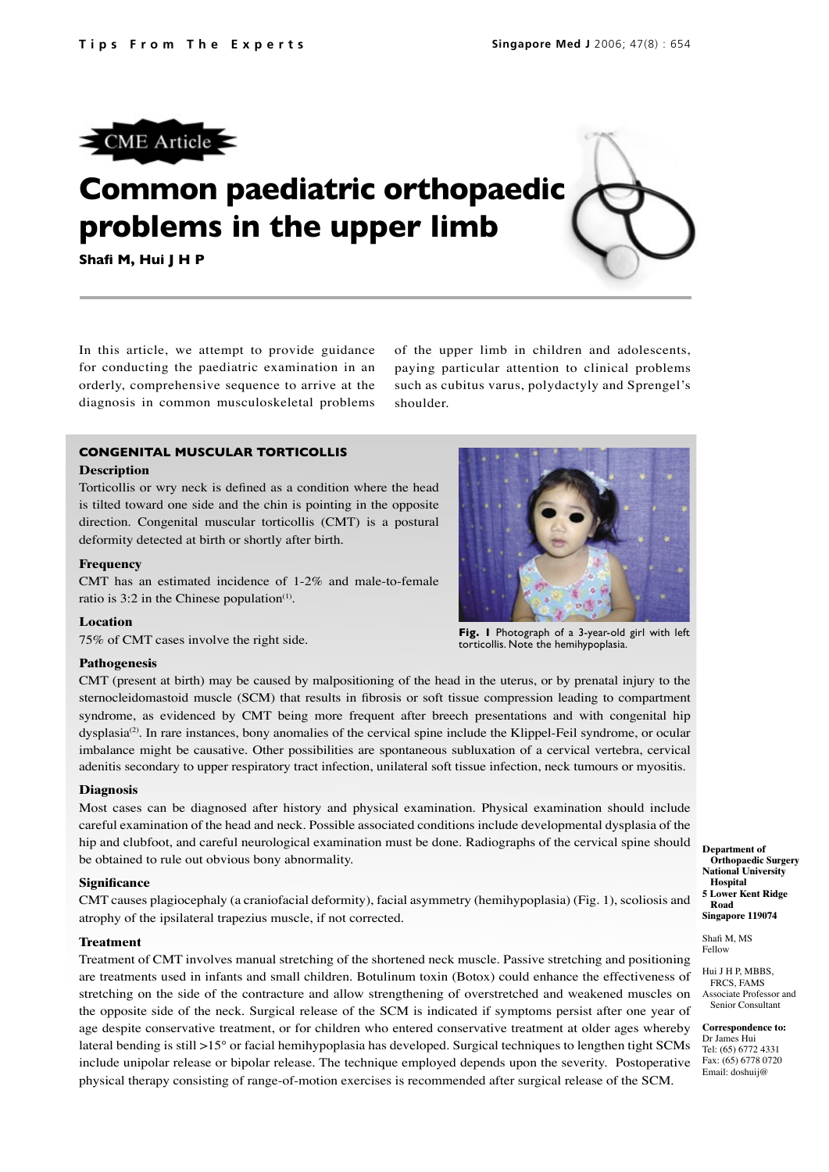

# **Common paediatric orthopaedic problems in the upper limb**

**Shafi M, Hui J H P**

In this article, we attempt to provide guidance for conducting the paediatric examination in an orderly, comprehensive sequence to arrive at the diagnosis in common musculoskeletal problems

of the upper limb in children and adolescents, paying particular attention to clinical problems such as cubitus varus, polydactyly and Sprengel's shoulder.

# **CONGENITAL MUSCULAR TORTICOLLIS**

## **Description**

Torticollis or wry neck is defined as a condition where the head is tilted toward one side and the chin is pointing in the opposite direction. Congenital muscular torticollis (CMT) is a postural deformity detected at birth or shortly after birth.

## **Frequency**

CMT has an estimated incidence of 1-2% and male-to-female ratio is 3:2 in the Chinese population<sup>(1)</sup>.

### **Location**

75% of CMT cases involve the right side.

## **Pathogenesis**

CMT (present at birth) may be caused by malpositioning of the head in the uterus, or by prenatal injury to the sternocleidomastoid muscle (SCM) that results in fibrosis or soft tissue compression leading to compartment syndrome, as evidenced by CMT being more frequent after breech presentations and with congenital hip dysplasia<sup>(2)</sup>. In rare instances, bony anomalies of the cervical spine include the Klippel-Feil syndrome, or ocular imbalance might be causative. Other possibilities are spontaneous subluxation of a cervical vertebra, cervical adenitis secondary to upper respiratory tract infection, unilateral soft tissue infection, neck tumours or myositis.

## **Diagnosis**

Most cases can be diagnosed after history and physical examination. Physical examination should include careful examination of the head and neck. Possible associated conditions include developmental dysplasia of the hip and clubfoot, and careful neurological examination must be done. Radiographs of the cervical spine should be obtained to rule out obvious bony abnormality.

## **Significance**

CMT causes plagiocephaly (a craniofacial deformity), facial asymmetry (hemihypoplasia) (Fig. 1), scoliosis and atrophy of the ipsilateral trapezius muscle, if not corrected.

## **Treatment**

Treatment of CMT involves manual stretching of the shortened neck muscle. Passive stretching and positioning are treatments used in infants and small children. Botulinum toxin (Botox) could enhance the effectiveness of stretching on the side of the contracture and allow strengthening of overstretched and weakened muscles on the opposite side of the neck. Surgical release of the SCM is indicated if symptoms persist after one year of age despite conservative treatment, or for children who entered conservative treatment at older ages whereby lateral bending is still >15° or facial hemihypoplasia has developed. Surgical techniques to lengthen tight SCMs include unipolar release or bipolar release. The technique employed depends upon the severity. Postoperative physical therapy consisting of range-of-motion exercises is recommended after surgical release of the SCM.



**Fig. 1** Photograph of a 3-year-old girl with left torticollis. Note the hemihypoplasia.

**Department of Orthopaedic Surgery National University Hospital 5 Lower Kent Ridge Road Singapore 119074**

Shafi M, MS Fellow

Hui I H P MBBS FRCS, FAMS Associate Professor and Senior Consultant

**Correspondence to:** Dr James Hui Tel: (65) 6772 4331 Fax: (65) 6778 0720 Email: doshuij@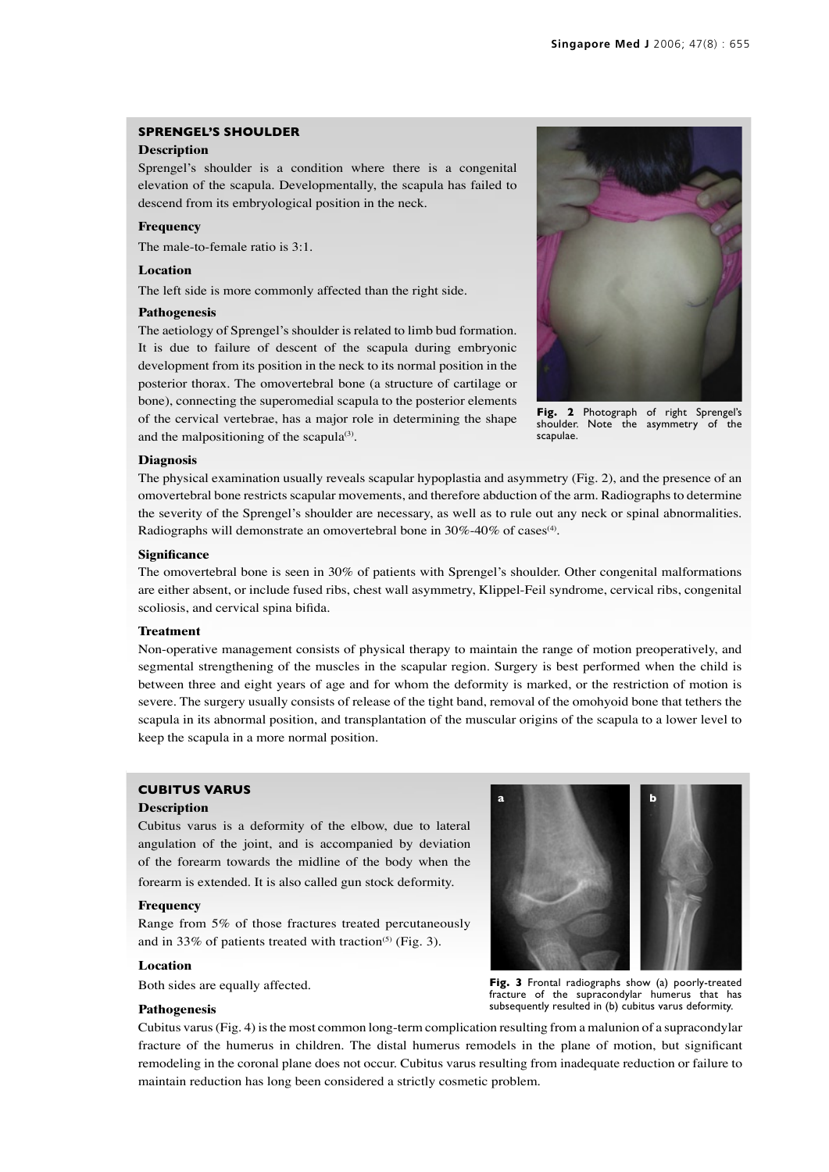# **SPRENGEL'S SHOULDER**

## **Description**

Sprengel's shoulder is a condition where there is a congenital elevation of the scapula. Developmentally, the scapula has failed to descend from its embryological position in the neck.

## **Frequency**

The male-to-female ratio is 3:1.

# **Location**

The left side is more commonly affected than the right side.

## **Pathogenesis**

The aetiology of Sprengel's shoulder is related to limb bud formation. It is due to failure of descent of the scapula during embryonic development from its position in the neck to its normal position in the posterior thorax. The omovertebral bone (a structure of cartilage or bone), connecting the superomedial scapula to the posterior elements of the cervical vertebrae, has a major role in determining the shape and the malpositioning of the scapula $(3)$ .



Fig. 2 Photograph of right Sprengel's shoulder. Note the asymmetry of the scapulae.

#### **Diagnosis**

The physical examination usually reveals scapular hypoplastia and asymmetry (Fig. 2), and the presence of an omovertebral bone restricts scapular movements, and therefore abduction of the arm. Radiographs to determine the severity of the Sprengel's shoulder are necessary, as well as to rule out any neck or spinal abnormalities. Radiographs will demonstrate an omovertebral bone in  $30\%$ -40% of cases<sup>(4)</sup>.

## **Significance**

The omovertebral bone is seen in 30% of patients with Sprengel's shoulder. Other congenital malformations are either absent, or include fused ribs, chest wall asymmetry, Klippel-Feil syndrome, cervical ribs, congenital scoliosis, and cervical spina bifida.

#### **Treatment**

Non-operative management consists of physical therapy to maintain the range of motion preoperatively, and segmental strengthening of the muscles in the scapular region. Surgery is best performed when the child is between three and eight years of age and for whom the deformity is marked, or the restriction of motion is severe. The surgery usually consists of release of the tight band, removal of the omohyoid bone that tethers the scapula in its abnormal position, and transplantation of the muscular origins of the scapula to a lower level to keep the scapula in a more normal position.

## **CUBITUS VARUS**

#### **Description**

Cubitus varus is a deformity of the elbow, due to lateral angulation of the joint, and is accompanied by deviation of the forearm towards the midline of the body when the forearm is extended. It is also called gun stock deformity.

## **Frequency**

Range from 5% of those fractures treated percutaneously and in 33% of patients treated with traction<sup>(5)</sup> (Fig. 3).

## **Location**

Both sides are equally affected.

#### **Pathogenesis**

**Fig. 3** Frontal radiographs show (a) poorly-treated

**a b**

fracture of the supracondylar humerus that has subsequently resulted in (b) cubitus varus deformity.

Cubitus varus (Fig. 4) is the most common long-term complication resulting from a malunion of a supracondylar fracture of the humerus in children. The distal humerus remodels in the plane of motion, but significant remodeling in the coronal plane does not occur. Cubitus varus resulting from inadequate reduction or failure to maintain reduction has long been considered a strictly cosmetic problem.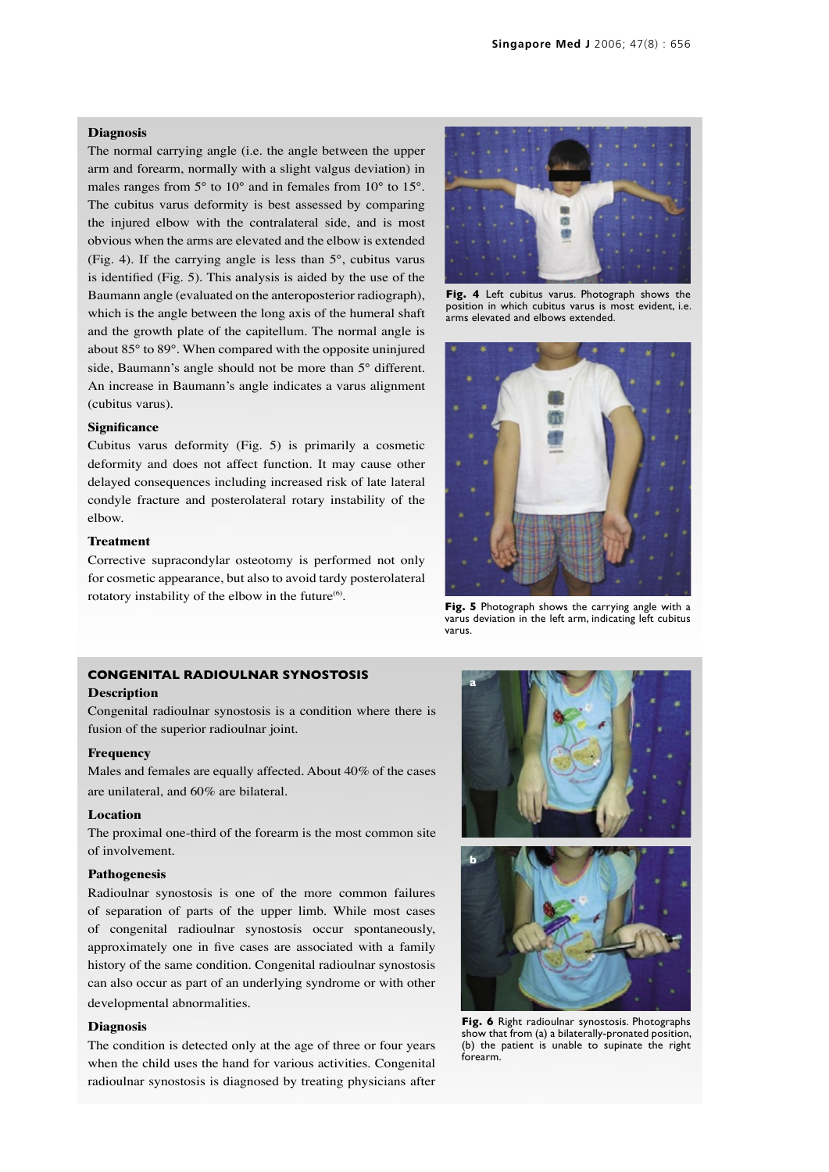## **Diagnosis**

The normal carrying angle (i.e. the angle between the upper arm and forearm, normally with a slight valgus deviation) in males ranges from 5° to 10° and in females from 10° to 15°. The cubitus varus deformity is best assessed by comparing the injured elbow with the contralateral side, and is most obvious when the arms are elevated and the elbow is extended (Fig. 4). If the carrying angle is less than 5°, cubitus varus is identified (Fig. 5). This analysis is aided by the use of the Baumann angle (evaluated on the anteroposterior radiograph), which is the angle between the long axis of the humeral shaft and the growth plate of the capitellum. The normal angle is about 85° to 89°. When compared with the opposite uninjured side, Baumann's angle should not be more than 5° different. An increase in Baumann's angle indicates a varus alignment (cubitus varus).

#### **Significance**

Cubitus varus deformity (Fig. 5) is primarily a cosmetic deformity and does not affect function. It may cause other delayed consequences including increased risk of late lateral condyle fracture and posterolateral rotary instability of the elbow.

## **Treatment**

Corrective supracondylar osteotomy is performed not only for cosmetic appearance, but also to avoid tardy posterolateral rotatory instability of the elbow in the future<sup>(6)</sup>.

## **CONGENITAL RADIOULNAR SYNOSTOSIS**

## **Description**

Congenital radioulnar synostosis is a condition where there is fusion of the superior radioulnar joint.

# **Frequency**

Males and females are equally affected. About 40% of the cases are unilateral, and 60% are bilateral.

## **Location**

The proximal one-third of the forearm is the most common site of involvement.

## **Pathogenesis**

Radioulnar synostosis is one of the more common failures of separation of parts of the upper limb. While most cases of congenital radioulnar synostosis occur spontaneously, approximately one in five cases are associated with a family history of the same condition. Congenital radioulnar synostosis can also occur as part of an underlying syndrome or with other developmental abnormalities.

## **Diagnosis**

The condition is detected only at the age of three or four years when the child uses the hand for various activities. Congenital radioulnar synostosis is diagnosed by treating physicians after



**Fig. 4** Left cubitus varus. Photograph shows the position in which cubitus varus is most evident, i.e. arms elevated and elbows extended.



**Fig. 5** Photograph shows the carrying angle with a varus deviation in the left arm, indicating left cubitus varus.



**Fig. 6** Right radioulnar synostosis. Photographs show that from (a) a bilaterally-pronated position, (b) the patient is unable to supinate the right forearm.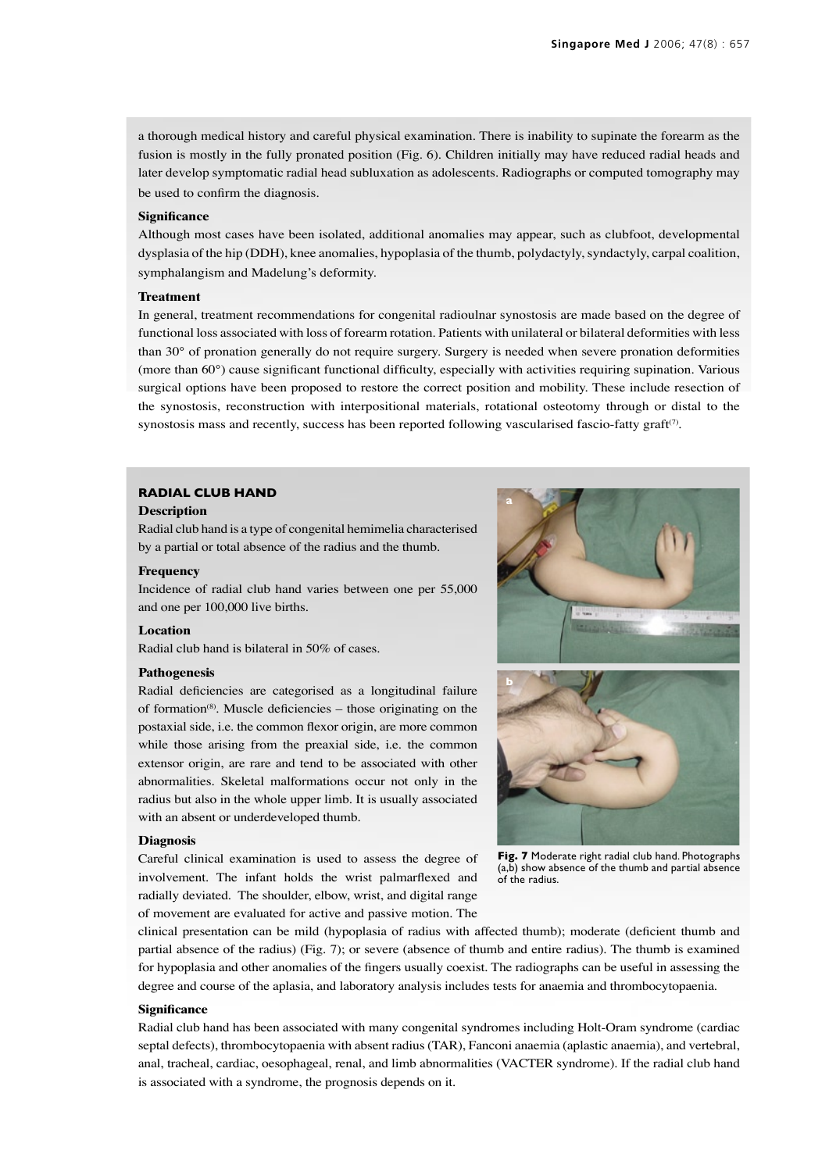a thorough medical history and careful physical examination. There is inability to supinate the forearm as the fusion is mostly in the fully pronated position (Fig. 6). Children initially may have reduced radial heads and later develop symptomatic radial head subluxation as adolescents. Radiographs or computed tomography may be used to confirm the diagnosis.

#### **Significance**

Although most cases have been isolated, additional anomalies may appear, such as clubfoot, developmental dysplasia of the hip (DDH), knee anomalies, hypoplasia of the thumb, polydactyly, syndactyly, carpal coalition, symphalangism and Madelung's deformity.

## **Treatment**

In general, treatment recommendations for congenital radioulnar synostosis are made based on the degree of functional loss associated with loss of forearm rotation. Patients with unilateral or bilateral deformities with less than 30° of pronation generally do not require surgery. Surgery is needed when severe pronation deformities (more than 60°) cause significant functional difficulty, especially with activities requiring supination. Various surgical options have been proposed to restore the correct position and mobility. These include resection of the synostosis, reconstruction with interpositional materials, rotational osteotomy through or distal to the synostosis mass and recently, success has been reported following vascularised fascio-fatty graft<sup>(7)</sup>.

## **RADIAL CLUB HAND**

## **Description**

Radial club hand is a type of congenital hemimelia characterised by a partial or total absence of the radius and the thumb.

## **Frequency**

Incidence of radial club hand varies between one per 55,000 and one per 100,000 live births.

## **Location**

Radial club hand is bilateral in 50% of cases.

## **Pathogenesis**

Radial deficiencies are categorised as a longitudinal failure of formation $(8)$ . Muscle deficiencies – those originating on the postaxial side, i.e. the common flexor origin, are more common while those arising from the preaxial side, i.e. the common extensor origin, are rare and tend to be associated with other abnormalities. Skeletal malformations occur not only in the radius but also in the whole upper limb. It is usually associated with an absent or underdeveloped thumb.

#### **Diagnosis**

Careful clinical examination is used to assess the degree of involvement. The infant holds the wrist palmarflexed and radially deviated. The shoulder, elbow, wrist, and digital range of movement are evaluated for active and passive motion. The



**Fig. 7** Moderate right radial club hand. Photographs (a,b) show absence of the thumb and partial absence of the radius.

clinical presentation can be mild (hypoplasia of radius with affected thumb); moderate (deficient thumb and partial absence of the radius) (Fig. 7); or severe (absence of thumb and entire radius). The thumb is examined for hypoplasia and other anomalies of the fingers usually coexist. The radiographs can be useful in assessing the degree and course of the aplasia, and laboratory analysis includes tests for anaemia and thrombocytopaenia.

## **Significance**

Radial club hand has been associated with many congenital syndromes including Holt-Oram syndrome (cardiac septal defects), thrombocytopaenia with absent radius (TAR), Fanconi anaemia (aplastic anaemia), and vertebral, anal, tracheal, cardiac, oesophageal, renal, and limb abnormalities (VACTER syndrome). If the radial club hand is associated with a syndrome, the prognosis depends on it.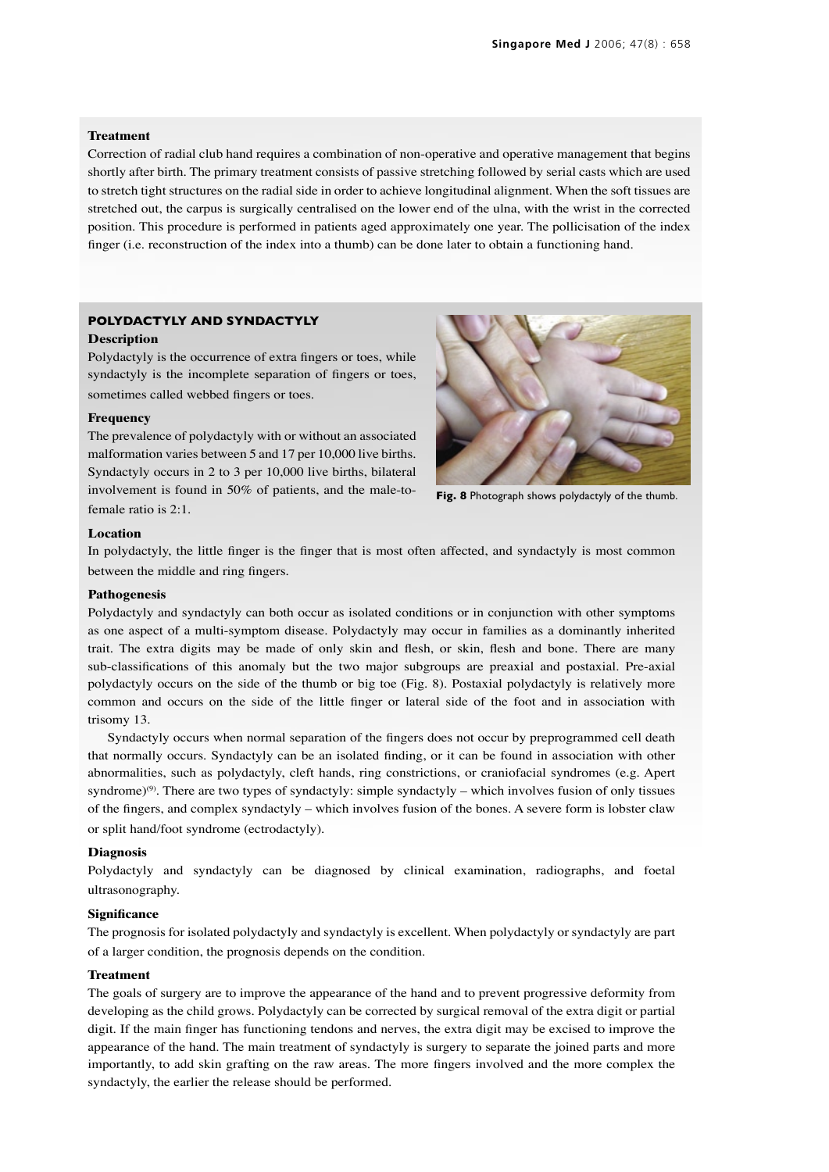## **Treatment**

Correction of radial club hand requires a combination of non-operative and operative management that begins shortly after birth. The primary treatment consists of passive stretching followed by serial casts which are used to stretch tight structures on the radial side in order to achieve longitudinal alignment. When the soft tissues are stretched out, the carpus is surgically centralised on the lower end of the ulna, with the wrist in the corrected position. This procedure is performed in patients aged approximately one year. The pollicisation of the index finger (i.e. reconstruction of the index into a thumb) can be done later to obtain a functioning hand.

# **POLYDACTYLY AND SYNDACTYLY Description**

Polydactyly is the occurrence of extra fingers or toes, while syndactyly is the incomplete separation of fingers or toes, sometimes called webbed fingers or toes.

## **Frequency**

The prevalence of polydactyly with or without an associated malformation varies between 5 and 17 per 10,000 live births. Syndactyly occurs in 2 to 3 per 10,000 live births, bilateral involvement is found in 50% of patients, and the male-tofemale ratio is 2:1.



**Fig. 8** Photograph shows polydactyly of the thumb.

## **Location**

In polydactyly, the little finger is the finger that is most often affected, and syndactyly is most common between the middle and ring fingers.

#### **Pathogenesis**

Polydactyly and syndactyly can both occur as isolated conditions or in conjunction with other symptoms as one aspect of a multi-symptom disease. Polydactyly may occur in families as a dominantly inherited trait. The extra digits may be made of only skin and flesh, or skin, flesh and bone. There are many sub-classifications of this anomaly but the two major subgroups are preaxial and postaxial. Pre-axial polydactyly occurs on the side of the thumb or big toe (Fig. 8). Postaxial polydactyly is relatively more common and occurs on the side of the little finger or lateral side of the foot and in association with trisomy 13.

Syndactyly occurs when normal separation of the fingers does not occur by preprogrammed cell death that normally occurs. Syndactyly can be an isolated finding, or it can be found in association with other abnormalities, such as polydactyly, cleft hands, ring constrictions, or craniofacial syndromes (e.g. Apert syndrome)<sup>(9)</sup>. There are two types of syndactyly: simple syndactyly – which involves fusion of only tissues of the fingers, and complex syndactyly – which involves fusion of the bones. A severe form is lobster claw or split hand/foot syndrome (ectrodactyly).

## **Diagnosis**

Polydactyly and syndactyly can be diagnosed by clinical examination, radiographs, and foetal ultrasonography.

## **Significance**

The prognosis for isolated polydactyly and syndactyly is excellent. When polydactyly or syndactyly are part of a larger condition, the prognosis depends on the condition.

### **Treatment**

The goals of surgery are to improve the appearance of the hand and to prevent progressive deformity from developing as the child grows. Polydactyly can be corrected by surgical removal of the extra digit or partial digit. If the main finger has functioning tendons and nerves, the extra digit may be excised to improve the appearance of the hand. The main treatment of syndactyly is surgery to separate the joined parts and more importantly, to add skin grafting on the raw areas. The more fingers involved and the more complex the syndactyly, the earlier the release should be performed.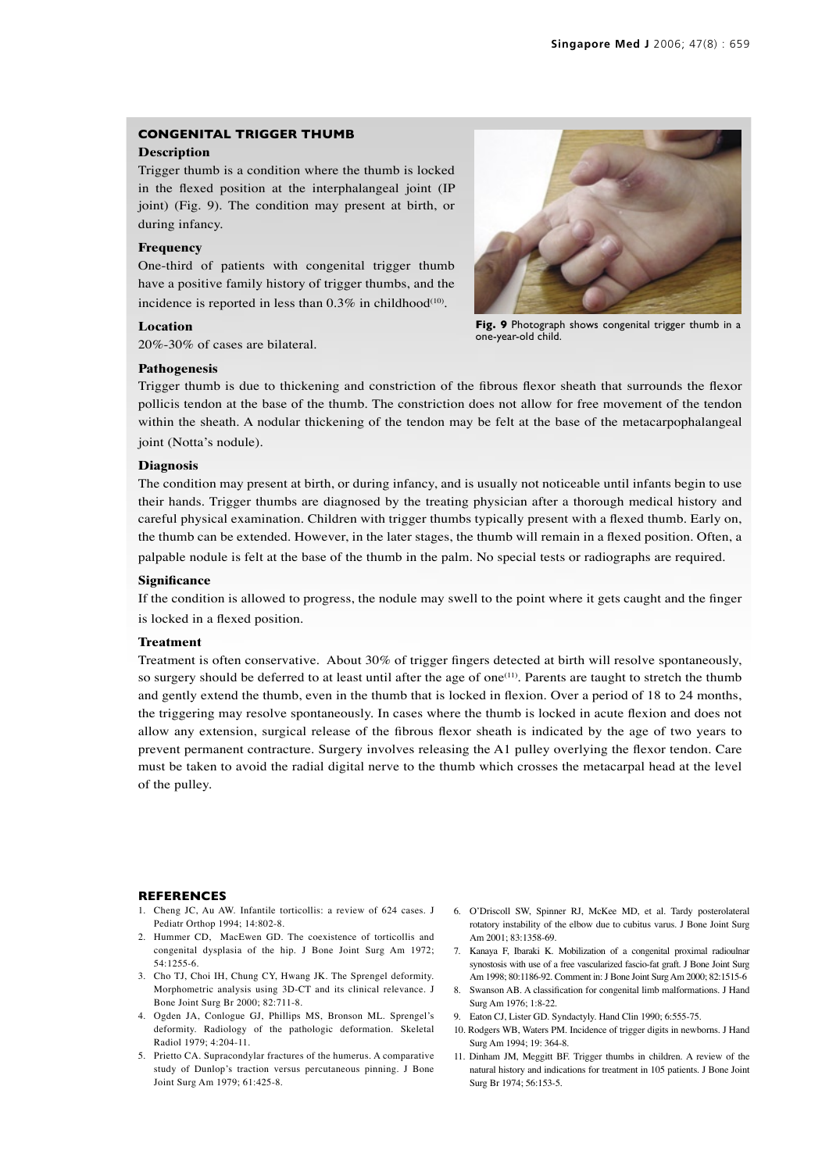# **CONGENITAL TRIGGER THUMB**

## **Description**

Trigger thumb is a condition where the thumb is locked in the flexed position at the interphalangeal joint (IP joint) (Fig. 9). The condition may present at birth, or during infancy.

## **Frequency**

One-third of patients with congenital trigger thumb have a positive family history of trigger thumbs, and the incidence is reported in less than  $0.3\%$  in childhood<sup>(10)</sup>.

## **Location**

20%-30% of cases are bilateral.

## **Pathogenesis**

Trigger thumb is due to thickening and constriction of the fibrous flexor sheath that surrounds the flexor pollicis tendon at the base of the thumb. The constriction does not allow for free movement of the tendon within the sheath. A nodular thickening of the tendon may be felt at the base of the metacarpophalangeal joint (Notta's nodule).

## **Diagnosis**

The condition may present at birth, or during infancy, and is usually not noticeable until infants begin to use their hands. Trigger thumbs are diagnosed by the treating physician after a thorough medical history and careful physical examination. Children with trigger thumbs typically present with a flexed thumb. Early on, the thumb can be extended. However, in the later stages, the thumb will remain in a flexed position. Often, a palpable nodule is felt at the base of the thumb in the palm. No special tests or radiographs are required.

#### **Significance**

If the condition is allowed to progress, the nodule may swell to the point where it gets caught and the finger is locked in a flexed position.

## **Treatment**

Treatment is often conservative. About 30% of trigger fingers detected at birth will resolve spontaneously, so surgery should be deferred to at least until after the age of one<sup>(11)</sup>. Parents are taught to stretch the thumb and gently extend the thumb, even in the thumb that is locked in flexion. Over a period of 18 to 24 months, the triggering may resolve spontaneously. In cases where the thumb is locked in acute flexion and does not allow any extension, surgical release of the fibrous flexor sheath is indicated by the age of two years to prevent permanent contracture. Surgery involves releasing the A1 pulley overlying the flexor tendon. Care must be taken to avoid the radial digital nerve to the thumb which crosses the metacarpal head at the level of the pulley.

#### **REFERENCES**

- 1. Cheng JC, Au AW. Infantile torticollis: a review of 624 cases. J Pediatr Orthop 1994; 14:802-8.
- 2. Hummer CD, MacEwen GD. The coexistence of torticollis and congenital dysplasia of the hip. J Bone Joint Surg Am 1972; 54:1255-6.
- 3. Cho TJ, Choi IH, Chung CY, Hwang JK. The Sprengel deformity. Morphometric analysis using 3D-CT and its clinical relevance. J Bone Joint Surg Br 2000; 82:711-8.
- 4. Ogden JA, Conlogue GJ, Phillips MS, Bronson ML. Sprengel's deformity. Radiology of the pathologic deformation. Skeletal Radiol 1979; 4:204-11.
- 5. Prietto CA. Supracondylar fractures of the humerus. A comparative study of Dunlop's traction versus percutaneous pinning. J Bone Joint Surg Am 1979; 61:425-8.
- 6. O'Driscoll SW, Spinner RJ, McKee MD, et al. Tardy posterolateral rotatory instability of the elbow due to cubitus varus. J Bone Joint Surg Am 2001; 83:1358-69.
- 7. Kanaya F, Ibaraki K. Mobilization of a congenital proximal radioulnar synostosis with use of a free vascularized fascio-fat graft. J Bone Joint Surg Am 1998; 80:1186-92. Comment in: J Bone Joint Surg Am 2000; 82:1515-6
- 8. Swanson AB. A classification for congenital limb malformations. J Hand Surg Am 1976; 1:8-22.
- 9. Eaton CJ, Lister GD. Syndactyly. Hand Clin 1990; 6:555-75.
- 10. Rodgers WB, Waters PM. Incidence of trigger digits in newborns. J Hand Surg Am 1994; 19: 364-8.
- 11. Dinham JM, Meggitt BF. Trigger thumbs in children. A review of the natural history and indications for treatment in 105 patients. J Bone Joint Surg Br 1974; 56:153-5.



Fig. 9 Photograph shows congenital trigger thumb in a one-year-old child.